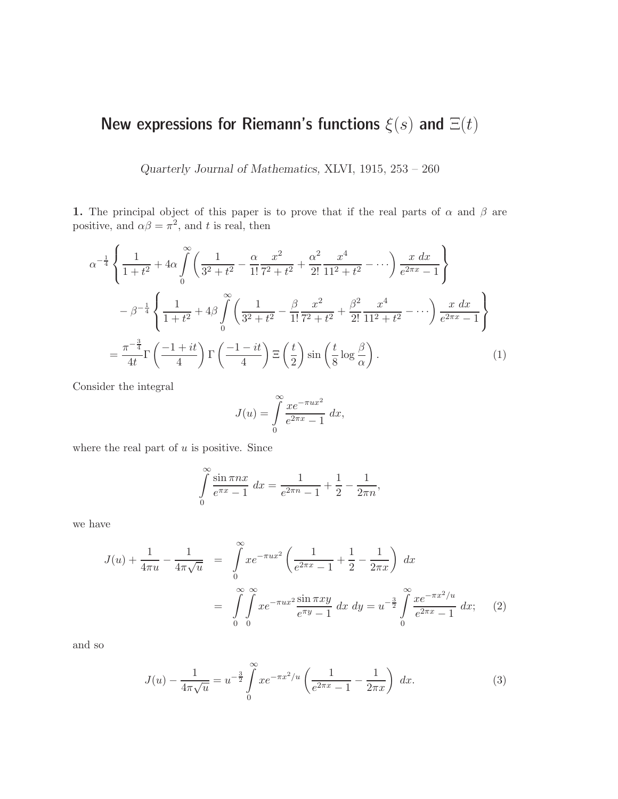Quarterly Journal of Mathematics, XLVI, 1915, 253 – 260

1. The principal object of this paper is to prove that if the real parts of  $\alpha$  and  $\beta$  are positive, and  $\alpha\beta = \pi^2$ , and t is real, then

$$
\alpha^{-\frac{1}{4}} \left\{ \frac{1}{1+t^2} + 4\alpha \int_0^\infty \left( \frac{1}{3^2+t^2} - \frac{\alpha}{1!} \frac{x^2}{7^2+t^2} + \frac{\alpha^2}{2!} \frac{x^4}{11^2+t^2} - \cdots \right) \frac{x \, dx}{e^{2\pi x} - 1} \right\}
$$

$$
- \beta^{-\frac{1}{4}} \left\{ \frac{1}{1+t^2} + 4\beta \int_0^\infty \left( \frac{1}{3^2+t^2} - \frac{\beta}{1!} \frac{x^2}{7^2+t^2} + \frac{\beta^2}{2!} \frac{x^4}{11^2+t^2} - \cdots \right) \frac{x \, dx}{e^{2\pi x} - 1} \right\}
$$

$$
= \frac{\pi^{-\frac{3}{4}}}{4t} \Gamma \left( \frac{-1+it}{4} \right) \Gamma \left( \frac{-1-it}{4} \right) \Xi \left( \frac{t}{2} \right) \sin \left( \frac{t}{8} \log \frac{\beta}{\alpha} \right). \tag{1}
$$

Consider the integral

$$
J(u) = \int_{0}^{\infty} \frac{xe^{-\pi ux^2}}{e^{2\pi x} - 1} dx,
$$

where the real part of  $u$  is positive. Since

$$
\int_{0}^{\infty} \frac{\sin \pi nx}{e^{\pi x} - 1} dx = \frac{1}{e^{2\pi n} - 1} + \frac{1}{2} - \frac{1}{2\pi n},
$$

we have

$$
J(u) + \frac{1}{4\pi u} - \frac{1}{4\pi \sqrt{u}} = \int_{0}^{\infty} x e^{-\pi ux^2} \left( \frac{1}{e^{2\pi x} - 1} + \frac{1}{2} - \frac{1}{2\pi x} \right) dx
$$
  
= 
$$
\int_{0}^{\infty} \int_{0}^{\infty} x e^{-\pi ux^2} \frac{\sin \pi xy}{e^{\pi y} - 1} dx dy = u^{-\frac{3}{2}} \int_{0}^{\infty} \frac{x e^{-\pi x^2/u}}{e^{2\pi x} - 1} dx;
$$
 (2)

and so

$$
J(u) - \frac{1}{4\pi\sqrt{u}} = u^{-\frac{3}{2}} \int_{0}^{\infty} x e^{-\pi x^{2}/u} \left(\frac{1}{e^{2\pi x} - 1} - \frac{1}{2\pi x}\right) dx.
$$
 (3)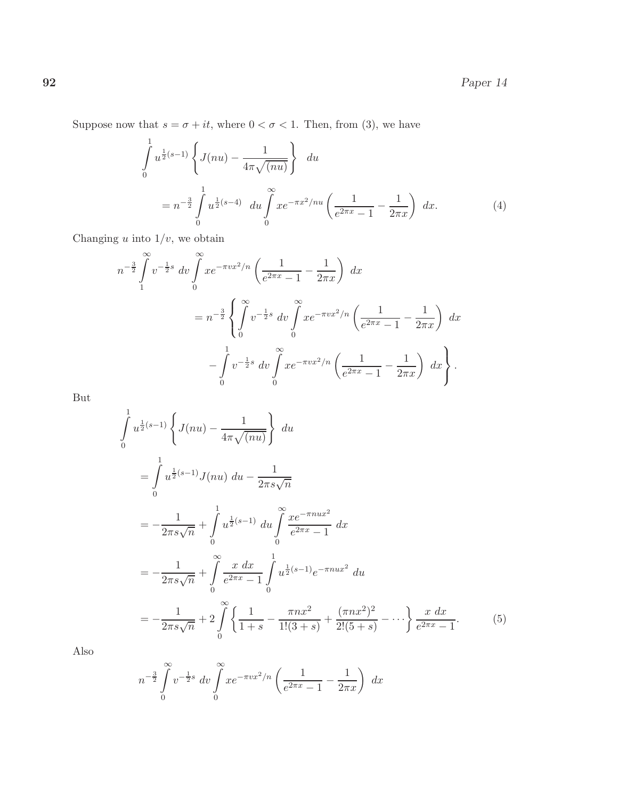Suppose now that  $s = \sigma + it$ , where  $0 < \sigma < 1$ . Then, from (3), we have

$$
\int_{0}^{1} u^{\frac{1}{2}(s-1)} \left\{ J(nu) - \frac{1}{4\pi\sqrt{(nu)}} \right\} du
$$
  
=  $n^{-\frac{3}{2}} \int_{0}^{1} u^{\frac{1}{2}(s-4)} du \int_{0}^{\infty} x e^{-\pi x^{2}/nu} \left( \frac{1}{e^{2\pi x} - 1} - \frac{1}{2\pi x} \right) dx.$  (4)

Changing  $u$  into  $1/v$ , we obtain

$$
n^{-\frac{3}{2}} \int_{1}^{\infty} v^{-\frac{1}{2}s} dv \int_{0}^{\infty} x e^{-\pi v x^{2}/n} \left( \frac{1}{e^{2\pi x} - 1} - \frac{1}{2\pi x} \right) dx
$$
  
=  $n^{-\frac{3}{2}} \left\{ \int_{0}^{\infty} v^{-\frac{1}{2}s} dv \int_{0}^{\infty} x e^{-\pi v x^{2}/n} \left( \frac{1}{e^{2\pi x} - 1} - \frac{1}{2\pi x} \right) dx \right\}$   
 $- \int_{0}^{1} v^{-\frac{1}{2}s} dv \int_{0}^{\infty} x e^{-\pi v x^{2}/n} \left( \frac{1}{e^{2\pi x} - 1} - \frac{1}{2\pi x} \right) dx \right\}.$ 

But

$$
\int_{0}^{1} u^{\frac{1}{2}(s-1)} \left\{ J(nu) - \frac{1}{4\pi\sqrt{(nu)}} \right\} du
$$
\n
$$
= \int_{0}^{1} u^{\frac{1}{2}(s-1)} J(nu) du - \frac{1}{2\pi s\sqrt{n}}
$$
\n
$$
= -\frac{1}{2\pi s\sqrt{n}} + \int_{0}^{1} u^{\frac{1}{2}(s-1)} du \int_{0}^{\infty} \frac{xe^{-\pi nux^{2}}}{e^{2\pi x} - 1} dx
$$
\n
$$
= -\frac{1}{2\pi s\sqrt{n}} + \int_{0}^{\infty} \frac{x dx}{e^{2\pi x} - 1} \int_{0}^{1} u^{\frac{1}{2}(s-1)} e^{-\pi nux^{2}} du
$$
\n
$$
= -\frac{1}{2\pi s\sqrt{n}} + 2 \int_{0}^{\infty} \left\{ \frac{1}{1+s} - \frac{\pi nx^{2}}{1!(3+s)} + \frac{(\pi nx^{2})^{2}}{2!(5+s)} - \cdots \right\} \frac{x dx}{e^{2\pi x} - 1}.
$$
\n(5)

Also

$$
n^{-\frac{3}{2}} \int_{0}^{\infty} v^{-\frac{1}{2}s} dv \int_{0}^{\infty} x e^{-\pi v x^{2}/n} \left(\frac{1}{e^{2\pi x} - 1} - \frac{1}{2\pi x}\right) dx
$$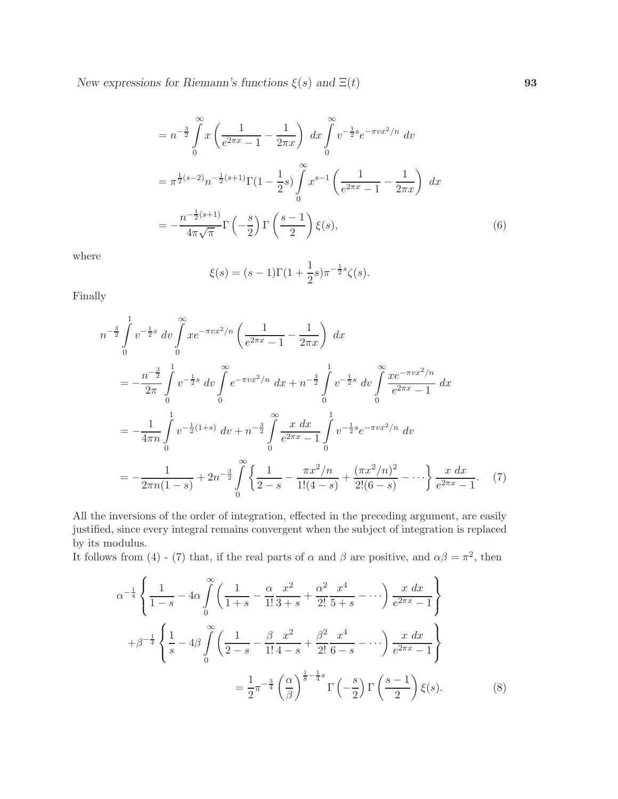$$
= n^{-\frac{3}{2}} \int_{0}^{\infty} x \left( \frac{1}{e^{2\pi x} - 1} - \frac{1}{2\pi x} \right) dx \int_{0}^{\infty} v^{-\frac{1}{2}s} e^{-\pi vx^{2}/n} dv
$$
  

$$
= \pi^{\frac{1}{2}(s-2)} n^{-\frac{1}{2}(s+1)} \Gamma(1 - \frac{1}{2}s) \int_{0}^{\infty} x^{s-1} \left( \frac{1}{e^{2\pi x} - 1} - \frac{1}{2\pi x} \right) dx
$$
  

$$
= -\frac{n^{-\frac{1}{2}(s+1)}}{4\pi \sqrt{\pi}} \Gamma\left(-\frac{s}{2}\right) \Gamma\left(\frac{s-1}{2}\right) \xi(s), \tag{6}
$$

where

$$
\xi(s) = (s-1)\Gamma(1+\frac{1}{2}s)\pi^{-\frac{1}{2}s}\zeta(s).
$$

Finally

$$
n^{-\frac{3}{2}} \int_{0}^{1} v^{-\frac{1}{2}s} dv \int_{0}^{\infty} x e^{-\pi v x^{2}/n} \left( \frac{1}{e^{2\pi x} - 1} - \frac{1}{2\pi x} \right) dx
$$
  
\n
$$
= -\frac{n^{-\frac{3}{2}}}{2\pi} \int_{0}^{1} v^{-\frac{1}{2}s} dv \int_{0}^{\infty} e^{-\pi v x^{2}/n} dx + n^{-\frac{3}{2}} \int_{0}^{1} v^{-\frac{1}{2}s} dv \int_{0}^{\infty} \frac{x e^{-\pi v x^{2}/n}}{e^{2\pi x} - 1} dx
$$
  
\n
$$
= -\frac{1}{4\pi n} \int_{0}^{1} v^{-\frac{1}{2}(1+s)} dv + n^{-\frac{3}{2}} \int_{0}^{\infty} \frac{x dx}{e^{2\pi x} - 1} \int_{0}^{1} v^{-\frac{1}{2}s} e^{-\pi v x^{2}/n} dv
$$
  
\n
$$
= -\frac{1}{2\pi n (1-s)} + 2n^{-\frac{3}{2}} \int_{0}^{\infty} \left\{ \frac{1}{2-s} - \frac{\pi x^{2}/n}{1!(4-s)} + \frac{(\pi x^{2}/n)^{2}}{2!(6-s)} - \cdots \right\} \frac{x dx}{e^{2\pi x} - 1}.
$$
 (7)

All the inversions of the order of integration, effected in the preceding argument, are easily justified, since every integral remains convergent when the subject of integration is replaced by its modulus.

It follows from (4) - (7) that, if the real parts of  $\alpha$  and  $\beta$  are positive, and  $\alpha\beta = \pi^2$ , then

$$
\alpha^{-\frac{1}{4}} \left\{ \frac{1}{1-s} - 4\alpha \int_{0}^{\infty} \left( \frac{1}{1+s} - \frac{\alpha}{1!} \frac{x^2}{3+s} + \frac{\alpha^2}{2!} \frac{x^4}{5+s} - \cdots \right) \frac{x \, dx}{e^{2\pi x} - 1} \right\}
$$

$$
+ \beta^{-\frac{1}{4}} \left\{ \frac{1}{s} - 4\beta \int_{0}^{\infty} \left( \frac{1}{2-s} - \frac{\beta}{1!} \frac{x^2}{4-s} + \frac{\beta^2}{2!} \frac{x^4}{6-s} - \cdots \right) \frac{x \, dx}{e^{2\pi x} - 1} \right\}
$$

$$
= \frac{1}{2} \pi^{-\frac{3}{4}} \left( \frac{\alpha}{\beta} \right)^{\frac{1}{8} - \frac{1}{4}s} \Gamma\left(-\frac{s}{2}\right) \Gamma\left(\frac{s-1}{2}\right) \xi(s).
$$
(8)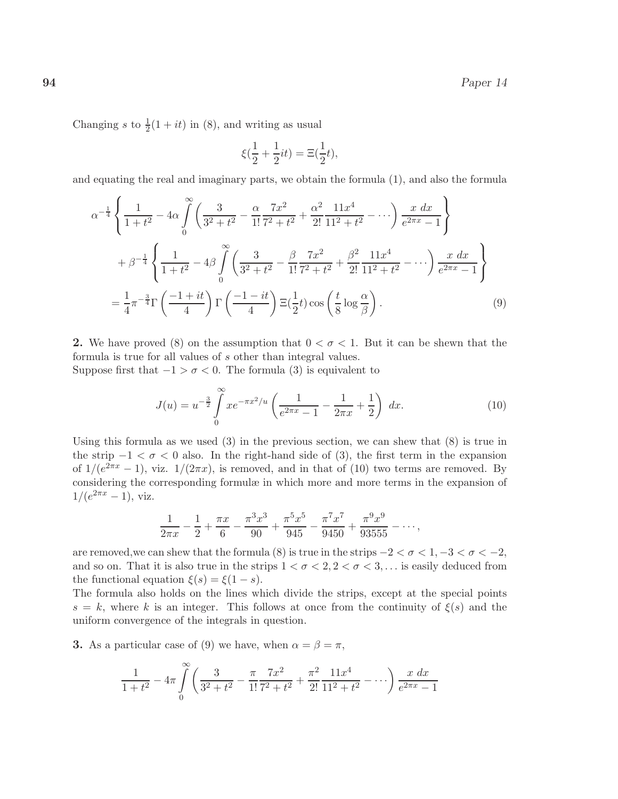Changing s to  $\frac{1}{2}(1+it)$  in (8), and writing as usual

$$
\xi(\frac12+\frac12it)=\Xi(\frac12t),
$$

and equating the real and imaginary parts, we obtain the formula (1), and also the formula

$$
\alpha^{-\frac{1}{4}} \left\{ \frac{1}{1+t^2} - 4\alpha \int_0^\infty \left( \frac{3}{3^2+t^2} - \frac{\alpha}{1!} \frac{7x^2}{7^2+t^2} + \frac{\alpha^2}{2!} \frac{11x^4}{11^2+t^2} - \cdots \right) \frac{x \, dx}{e^{2\pi x} - 1} \right\}
$$
  
+  $\beta^{-\frac{1}{4}} \left\{ \frac{1}{1+t^2} - 4\beta \int_0^\infty \left( \frac{3}{3^2+t^2} - \frac{\beta}{1!} \frac{7x^2}{7^2+t^2} + \frac{\beta^2}{2!} \frac{11x^4}{11^2+t^2} - \cdots \right) \frac{x \, dx}{e^{2\pi x} - 1} \right\}$   
=  $\frac{1}{4} \pi^{-\frac{3}{4}} \Gamma \left( \frac{-1+it}{4} \right) \Gamma \left( \frac{-1-it}{4} \right) \Xi(\frac{1}{2}t) \cos \left( \frac{t}{8} \log \frac{\alpha}{\beta} \right).$  (9)

2. We have proved (8) on the assumption that  $0 < \sigma < 1$ . But it can be shewn that the formula is true for all values of s other than integral values.

Suppose first that  $-1 > \sigma < 0$ . The formula (3) is equivalent to

$$
J(u) = u^{-\frac{3}{2}} \int_{0}^{\infty} x e^{-\pi x^{2}/u} \left( \frac{1}{e^{2\pi x} - 1} - \frac{1}{2\pi x} + \frac{1}{2} \right) dx.
$$
 (10)

Using this formula as we used  $(3)$  in the previous section, we can shew that  $(8)$  is true in the strip  $-1 < \sigma < 0$  also. In the right-hand side of (3), the first term in the expansion of  $1/(e^{2\pi x} - 1)$ , viz.  $1/(2\pi x)$ , is removed, and in that of (10) two terms are removed. By considering the corresponding formulæ in which more and more terms in the expansion of  $1/(e^{2\pi x} - 1)$ , viz.

$$
\frac{1}{2\pi x} - \frac{1}{2} + \frac{\pi x}{6} - \frac{\pi^3 x^3}{90} + \frac{\pi^5 x^5}{945} - \frac{\pi^7 x^7}{9450} + \frac{\pi^9 x^9}{93555} - \cdots,
$$

are removed, we can shew that the formula (8) is true in the strips  $-2 < \sigma < 1, -3 < \sigma < -2$ , and so on. That it is also true in the strips  $1 < \sigma < 2, 2 < \sigma < 3, \ldots$  is easily deduced from the functional equation  $\xi(s) = \xi(1-s)$ .

The formula also holds on the lines which divide the strips, except at the special points  $s = k$ , where k is an integer. This follows at once from the continuity of  $\xi(s)$  and the uniform convergence of the integrals in question.

**3.** As a particular case of (9) we have, when  $\alpha = \beta = \pi$ ,

$$
\frac{1}{1+t^2} - 4\pi \int_0^\infty \left( \frac{3}{3^2+t^2} - \frac{\pi}{1!} \frac{7x^2}{7^2+t^2} + \frac{\pi^2}{2!} \frac{11x^4}{11^2+t^2} - \cdots \right) \frac{x \, dx}{e^{2\pi x} - 1}
$$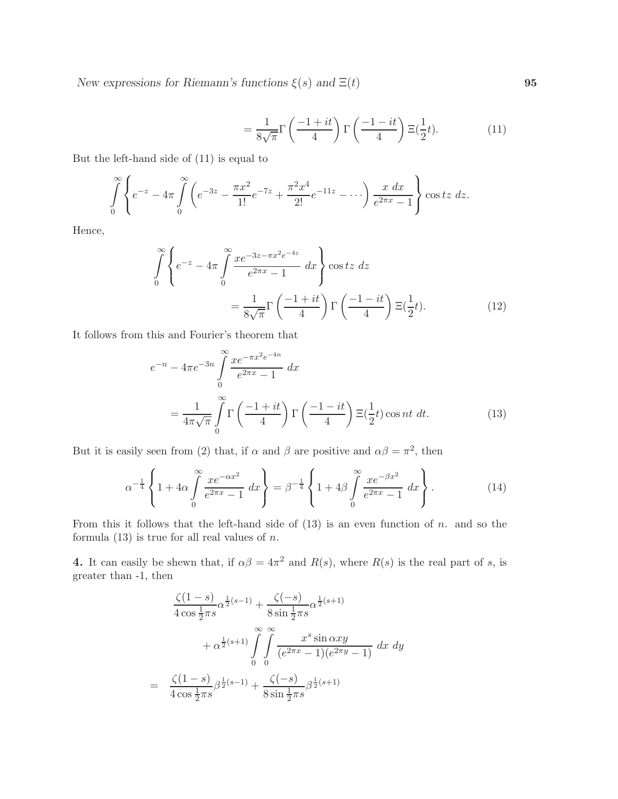$$
=\frac{1}{8\sqrt{\pi}}\Gamma\left(\frac{-1+it}{4}\right)\Gamma\left(\frac{-1-it}{4}\right)\Xi(\frac{1}{2}t). \tag{11}
$$

But the left-hand side of (11) is equal to

$$
\int_{0}^{\infty} \left\{ e^{-z} - 4\pi \int_{0}^{\infty} \left( e^{-3z} - \frac{\pi x^2}{1!} e^{-7z} + \frac{\pi^2 x^4}{2!} e^{-11z} - \cdots \right) \frac{x \, dx}{e^{2\pi x} - 1} \right\} \cos tz \, dz.
$$

Hence,

$$
\int_{0}^{\infty} \left\{ e^{-z} - 4\pi \int_{0}^{\infty} \frac{xe^{-3z - \pi x^2 e^{-4z}}}{e^{2\pi x} - 1} dx \right\} \cos tz \, dz
$$
\n
$$
= \frac{1}{8\sqrt{\pi}} \Gamma\left(\frac{-1 + it}{4}\right) \Gamma\left(\frac{-1 - it}{4}\right) \Xi(\frac{1}{2}t). \tag{12}
$$

It follows from this and Fourier's theorem that

$$
e^{-n} - 4\pi e^{-3n} \int_{0}^{\infty} \frac{xe^{-\pi x^2 e^{-4n}}}{e^{2\pi x} - 1} dx
$$
  
= 
$$
\frac{1}{4\pi \sqrt{\pi}} \int_{0}^{\infty} \Gamma\left(\frac{-1 + it}{4}\right) \Gamma\left(\frac{-1 - it}{4}\right) \Xi(\frac{1}{2}t) \cos nt \ dt.
$$
 (13)

But it is easily seen from (2) that, if  $\alpha$  and  $\beta$  are positive and  $\alpha\beta = \pi^2$ , then

$$
\alpha^{-\frac{1}{4}} \left\{ 1 + 4\alpha \int_{0}^{\infty} \frac{xe^{-\alpha x^{2}}}{e^{2\pi x} - 1} dx \right\} = \beta^{-\frac{1}{4}} \left\{ 1 + 4\beta \int_{0}^{\infty} \frac{xe^{-\beta x^{2}}}{e^{2\pi x} - 1} dx \right\}.
$$
 (14)

From this it follows that the left-hand side of  $(13)$  is an even function of n. and so the formula  $(13)$  is true for all real values of *n*.

**4.** It can easily be shewn that, if  $\alpha\beta = 4\pi^2$  and  $R(s)$ , where  $R(s)$  is the real part of s, is greater than -1, then

$$
\frac{\zeta(1-s)}{4\cos\frac{1}{2}\pi s}\alpha^{\frac{1}{2}(s-1)} + \frac{\zeta(-s)}{8\sin\frac{1}{2}\pi s}\alpha^{\frac{1}{2}(s+1)} \n+ \alpha^{\frac{1}{2}(s+1)} \int_{0}^{\infty} \int_{0}^{\infty} \frac{x^{s} \sin \alpha xy}{(e^{2\pi x} - 1)(e^{2\pi y} - 1)} dx dy \n= \frac{\zeta(1-s)}{4\cos\frac{1}{2}\pi s}\beta^{\frac{1}{2}(s-1)} + \frac{\zeta(-s)}{8\sin\frac{1}{2}\pi s}\beta^{\frac{1}{2}(s+1)}
$$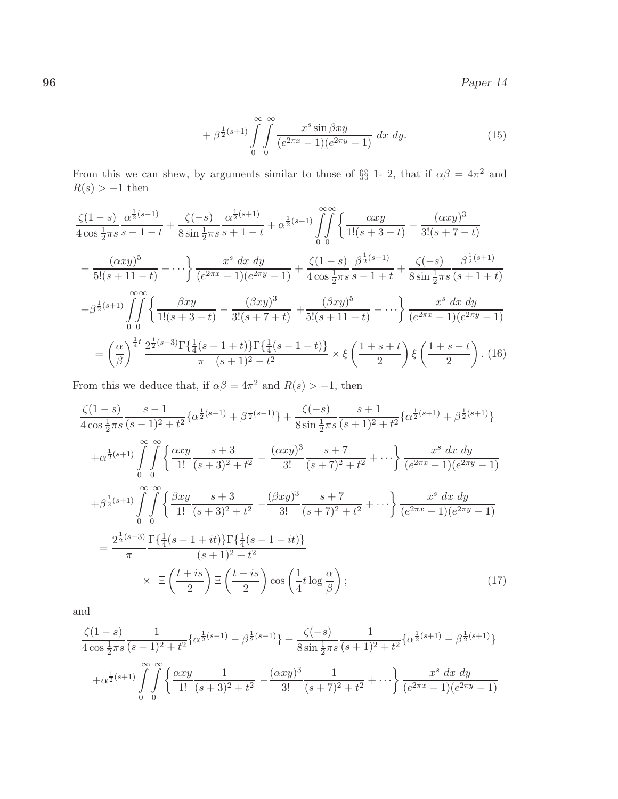$96$  Paper 14

$$
+\beta^{\frac{1}{2}(s+1)}\int_{0}^{\infty}\int_{0}^{\infty}\frac{x^{s}\sin\beta xy}{(e^{2\pi x}-1)(e^{2\pi y}-1)}\,dx\,dy.\tag{15}
$$

From this we can shew, by arguments similar to those of  $\S\S 1$ - 2, that if  $\alpha\beta = 4\pi^2$  and  $R(s) > -1$  then

$$
\frac{\zeta(1-s)}{4\cos\frac{1}{2}\pi s} \frac{\alpha^{\frac{1}{2}(s-1)}}{s-1-t} + \frac{\zeta(-s)}{8\sin\frac{1}{2}\pi s} \frac{\alpha^{\frac{1}{2}(s+1)}}{s+1-t} + \alpha^{\frac{1}{2}(s+1)} \int_{0}^{\infty} \left\{ \frac{\alpha xy}{1!(s+3-t)} - \frac{(\alpha xy)^3}{3!(s+7-t)} \right\}
$$

$$
+ \frac{(\alpha xy)^5}{5!(s+11-t)} - \cdots \left\} \frac{x^s \, dx \, dy}{(e^{2\pi x} - 1)(e^{2\pi y} - 1)} + \frac{\zeta(1-s)}{4\cos\frac{1}{2}\pi s} \frac{\beta^{\frac{1}{2}(s-1)}}{s-1+t} + \frac{\zeta(-s)}{8\sin\frac{1}{2}\pi s} \frac{\beta^{\frac{1}{2}(s+1)}}{(s+1+t)}
$$

$$
+ \beta^{\frac{1}{2}(s+1)} \int_{0}^{\infty} \left\{ \frac{\beta xy}{1!(s+3+t)} - \frac{(\beta xy)^3}{3!(s+7+t)} + \frac{(\beta xy)^5}{5!(s+11+t)} - \cdots \right\} \frac{x^s \, dx \, dy}{(e^{2\pi x} - 1)(e^{2\pi y} - 1)}
$$

$$
= \left(\frac{\alpha}{\beta}\right)^{\frac{1}{4}t} \frac{2^{\frac{1}{2}(s-3)} \Gamma\left\{\frac{1}{4}(s-1+t)\right\} \Gamma\left\{\frac{1}{4}(s-1-t)\right\}}{\pi} \times \xi \left(\frac{1+s+t}{2}\right) \xi \left(\frac{1+s-t}{2}\right) .
$$
(16)

From this we deduce that, if  $\alpha\beta = 4\pi^2$  and  $R(s) > -1$ , then

$$
\frac{\zeta(1-s)}{4\cos\frac{1}{2}\pi s} \frac{s-1}{(s-1)^2 + t^2} \{ \alpha^{\frac{1}{2}(s-1)} + \beta^{\frac{1}{2}(s-1)} \} + \frac{\zeta(-s)}{8\sin\frac{1}{2}\pi s} \frac{s+1}{(s+1)^2 + t^2} \{ \alpha^{\frac{1}{2}(s+1)} + \beta^{\frac{1}{2}(s+1)} \}
$$
\n
$$
+ \alpha^{\frac{1}{2}(s+1)} \int_{0}^{\infty} \int_{0}^{\infty} \left\{ \frac{\alpha xy}{1!} \frac{s+3}{(s+3)^2 + t^2} - \frac{(\alpha xy)^3}{3!} \frac{s+7}{(s+7)^2 + t^2} + \cdots \right\} \frac{x^s}{(e^{2\pi x} - 1)(e^{2\pi y} - 1)}
$$
\n
$$
+ \beta^{\frac{1}{2}(s+1)} \int_{0}^{\infty} \int_{0}^{\infty} \left\{ \frac{\beta xy}{1!} \frac{s+3}{(s+3)^2 + t^2} - \frac{(\beta xy)^3}{3!} \frac{s+7}{(s+7)^2 + t^2} + \cdots \right\} \frac{x^s}{(e^{2\pi x} - 1)(e^{2\pi y} - 1)}
$$
\n
$$
= \frac{2^{\frac{1}{2}(s-3)}}{\pi} \frac{\Gamma\{\frac{1}{4}(s-1+it)\}\Gamma\{\frac{1}{4}(s-1-it)\}}{(s+1)^2 + t^2}
$$
\n
$$
\times \Xi \left(\frac{t+is}{2}\right) \Xi \left(\frac{t-is}{2}\right) \cos\left(\frac{1}{4}t \log \frac{\alpha}{\beta}\right); \tag{17}
$$

and

$$
\frac{\zeta(1-s)}{4\cos\frac{1}{2}\pi s} \frac{1}{(s-1)^2 + t^2} \left\{ \alpha^{\frac{1}{2}(s-1)} - \beta^{\frac{1}{2}(s-1)} \right\} + \frac{\zeta(-s)}{8\sin\frac{1}{2}\pi s} \frac{1}{(s+1)^2 + t^2} \left\{ \alpha^{\frac{1}{2}(s+1)} - \beta^{\frac{1}{2}(s+1)} \right\}
$$

$$
+ \alpha^{\frac{1}{2}(s+1)} \int_{0}^{\infty} \int_{0}^{\infty} \left\{ \frac{\alpha xy}{1!} \frac{1}{(s+3)^2 + t^2} - \frac{(\alpha xy)^3}{3!} \frac{1}{(s+7)^2 + t^2} + \cdots \right\} \frac{x^s}{(e^{2\pi x} - 1)(e^{2\pi y} - 1)}
$$